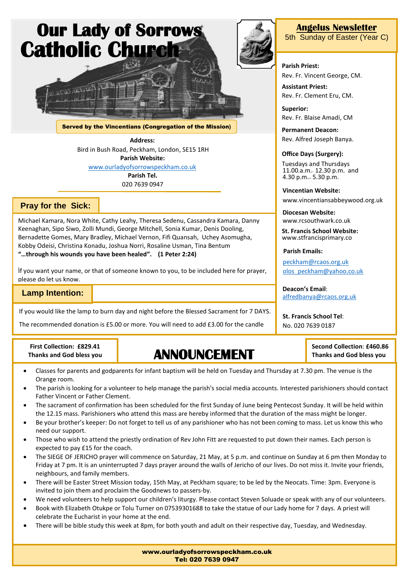

Served by the Vincentians (Congregation of the Mission**)**

**Address:**

Bird in Bush Road, Peckham, London, SE15 1RH **Parish Website:** [www.ourladyofsorrowspeckham.co.uk](http://www.ourladyofsorrowspeckham.co.uk/)

> **Parish Tel.** 020 7639 0947

#### **Pray for the Sick:**

Michael Kamara, Nora White, Cathy Leahy, Theresa Sedenu, Cassandra Kamara, Danny Keenaghan, Sipo Siwo, Zolli Mundi, George Mitchell, Sonia Kumar, Denis Dooling, Bernadette Gomes, Mary Bradley, Michael Vernon, Fifi Quansah, Uchey Asomugha, Kobby Odeisi, Christina Konadu, Joshua Norri, Rosaline Usman, Tina Bentum **"…through his wounds you have been healed". (1 Peter 2:24)**

. If you want your name, or that of someone known to you, to be included here for prayer, please do let us know.

## **Lamp Intention:**

**Example 2016**<br>If you would like the lamp to burn day and night before the Blessed Sacrament for 7 DAYS. please do let us know.

The recommended donation is £5.00 or more. You will need to add £3.00 for the candle

**First Collection: £829.41 Thanks and God bless you**

# **ANNOUNCEMENT**

- Classes for parents and godparents for infant baptism will be held on Tuesday and Thursday at 7.30 pm. The venue is the Orange room.
- The parish is looking for a volunteer to help manage the parish's social media accounts. Interested parishioners should contact Father Vincent or Father Clement.
- The sacrament of confirmation has been scheduled for the first Sunday of June being Pentecost Sunday. It will be held within the 12.15 mass. Parishioners who attend this mass are hereby informed that the duration of the mass might be longer.
- Be your brother's keeper: Do not forget to tell us of any parishioner who has not been coming to mass. Let us know this who need our support.
- Those who wish to attend the priestly ordination of Rev John Fitt are requested to put down their names. Each person is expected to pay £15 for the coach.
- The SIEGE OF JERICHO prayer will commence on Saturday, 21 May, at 5 p.m. and continue on Sunday at 6 pm then Monday to Friday at 7 pm. It is an uninterrupted 7 days prayer around the walls of Jericho of our lives. Do not miss it. Invite your friends, neighbours, and family members.
- There will be Easter Street Mission today, 15th May, at Peckham square; to be led by the Neocats. Time: 3pm. Everyone is invited to join them and proclaim the Goodnews to passers-by.
- We need volunteers to help support our children's liturgy. Please contact Steven Soluade or speak with any of our volunteers.
- Book with Elizabeth Otukpe or Tolu Turner on 07539301688 to take the statue of our Lady home for 7 days. A priest will celebrate the Eucharist in your home at the end.
- There will be bible study this week at 8pm, for both youth and adult on their respective day, Tuesday, and Wednesday.



#### **Angelus Newsletter**

5th Sunday of Easter (Year C)

#### **Parish Priest:**

Rev. Fr. Vincent George, CM.

**Assistant Priest:** Rev. Fr. Clement Eru, CM.

**Superior:** Rev. Fr. Blaise Amadi, CM

**Permanent Deacon:** Rev. Alfred Joseph Banya.

#### **Office Days (Surgery):**

Tuesdays and Thursdays 11.00.a.m.- 12.30 p.m. and 4.30 p.m.– 5.30 p.m.

**Vincentian Website:**

www.vincentiansabbeywood.org.uk

**Diocesan Website:** www.rcsouthwark.co.uk

**St. Francis School Website:** www.stfrancisprimary.co

**Parish Emails:**

[peckham@rcaos.org.uk](mailto:peckham@rcaos.org.uk) [olos\\_peckham@yahoo.co.uk](mailto:olos_peckham@yahoo.co.uk)

**Deacon's Email**: [alfredbanya@rcaos.org.uk](mailto:alfredbanya@rcaos.org.uk)

> **Second Collection**: **£460.86 Thanks and God bless you**

**St. Francis School Tel**: No. 020 7639 0187

www.ourladyofsorrowspeckham.co.uk Tel: 020 7639 0947